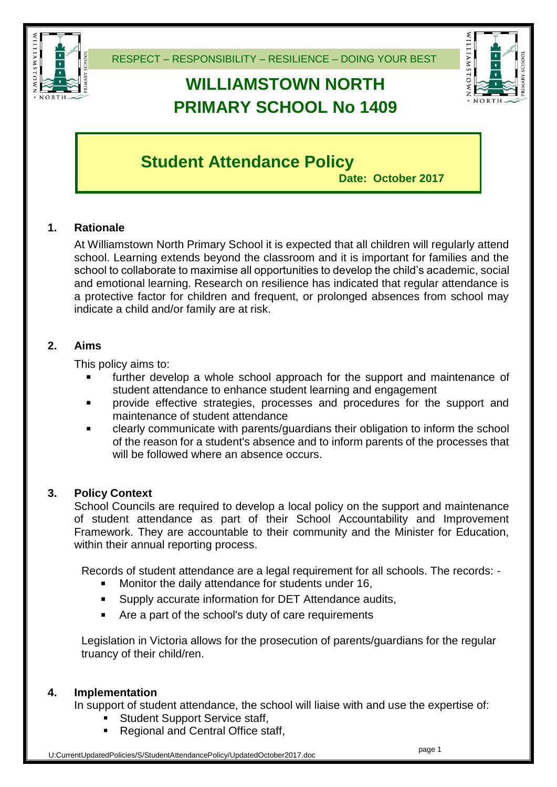

# **WILLIAMSTOWN NORTH PRIMARY SCHOOL No 1409**



# **Student Attendance Policy**

**Date: October 2017**

## **1. Rationale**

At Williamstown North Primary School it is expected that all children will regularly attend school. Learning extends beyond the classroom and it is important for families and the school to collaborate to maximise all opportunities to develop the child's academic, social and emotional learning. Research on resilience has indicated that regular attendance is a protective factor for children and frequent, or prolonged absences from school may indicate a child and/or family are at risk.

#### **2. Aims**

This policy aims to:

- further develop a whole school approach for the support and maintenance of student attendance to enhance student learning and engagement
- provide effective strategies, processes and procedures for the support and maintenance of student attendance
- clearly communicate with parents/guardians their obligation to inform the school of the reason for a student's absence and to inform parents of the processes that will be followed where an absence occurs.

#### **3. Policy Context**

School Councils are required to develop a local policy on the support and maintenance of student attendance as part of their School Accountability and Improvement Framework. They are accountable to their community and the Minister for Education, within their annual reporting process.

Records of student attendance are a legal requirement for all schools. The records: -

- Monitor the daily attendance for students under 16,
- Supply accurate information for DET Attendance audits,
- Are a part of the school's duty of care requirements

Legislation in Victoria allows for the prosecution of parents/guardians for the regular truancy of their child/ren.

#### **4. Implementation**

In support of student attendance, the school will liaise with and use the expertise of:

- Student Support Service staff,
- Regional and Central Office staff,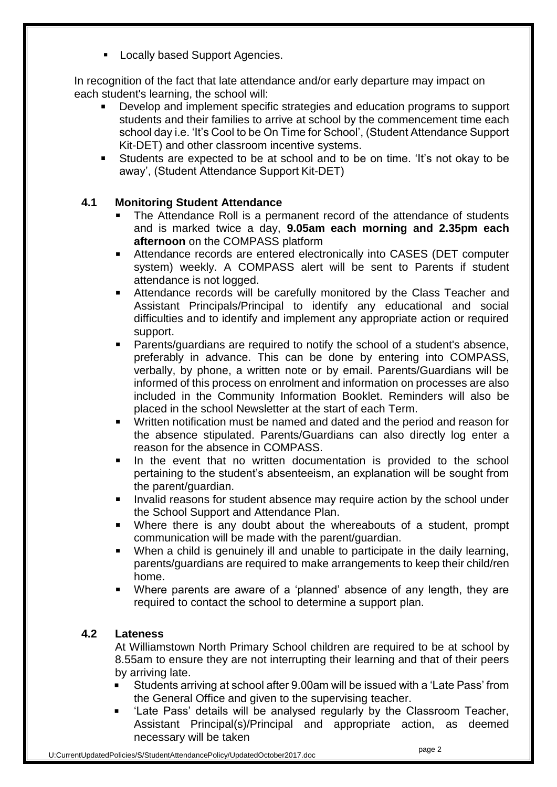**Locally based Support Agencies.** 

In recognition of the fact that late attendance and/or early departure may impact on each student's learning, the school will:

- Develop and implement specific strategies and education programs to support students and their families to arrive at school by the commencement time each school day i.e. 'It's Cool to be On Time for School', (Student Attendance Support Kit-DET) and other classroom incentive systems.
- Students are expected to be at school and to be on time. 'It's not okay to be away', (Student Attendance Support Kit-DET)

#### **4.1 Monitoring Student Attendance**

- The Attendance Roll is a permanent record of the attendance of students and is marked twice a day, **9.05am each morning and 2.35pm each afternoon** on the COMPASS platform
- Attendance records are entered electronically into CASES (DET computer system) weekly. A COMPASS alert will be sent to Parents if student attendance is not logged.
- Attendance records will be carefully monitored by the Class Teacher and Assistant Principals/Principal to identify any educational and social difficulties and to identify and implement any appropriate action or required support.
- Parents/guardians are required to notify the school of a student's absence, preferably in advance. This can be done by entering into COMPASS, verbally, by phone, a written note or by email. Parents/Guardians will be informed of this process on enrolment and information on processes are also included in the Community Information Booklet. Reminders will also be placed in the school Newsletter at the start of each Term.
- Written notification must be named and dated and the period and reason for the absence stipulated. Parents/Guardians can also directly log enter a reason for the absence in COMPASS.
- In the event that no written documentation is provided to the school pertaining to the student's absenteeism, an explanation will be sought from the parent/guardian.
- Invalid reasons for student absence may require action by the school under the School Support and Attendance Plan.
- Where there is any doubt about the whereabouts of a student, prompt communication will be made with the parent/guardian.
- When a child is genuinely ill and unable to participate in the daily learning, parents/guardians are required to make arrangements to keep their child/ren home.
- Where parents are aware of a 'planned' absence of any length, they are required to contact the school to determine a support plan.

#### **4.2 Lateness**

At Williamstown North Primary School children are required to be at school by 8.55am to ensure they are not interrupting their learning and that of their peers by arriving late.

- Students arriving at school after 9.00am will be issued with a 'Late Pass' from the General Office and given to the supervising teacher.
- 'Late Pass' details will be analysed regularly by the Classroom Teacher, Assistant Principal(s)/Principal and appropriate action, as deemed necessary will be taken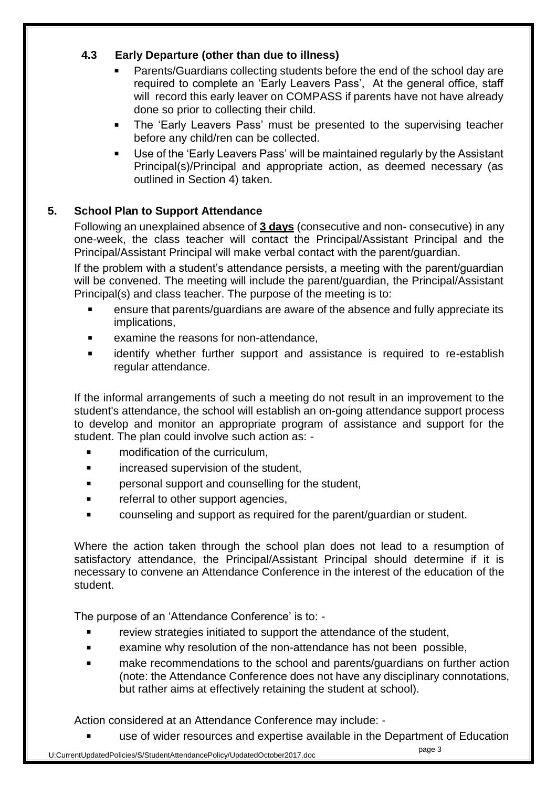### **4.3 Early Departure (other than due to illness)**

- Parents/Guardians collecting students before the end of the school day are required to complete an 'Early Leavers Pass', At the general office, staff will record this early leaver on COMPASS if parents have not have already done so prior to collecting their child.
- **The 'Early Leavers Pass' must be presented to the supervising teacher** before any child/ren can be collected.
- Use of the 'Early Leavers Pass' will be maintained regularly by the Assistant Principal(s)/Principal and appropriate action, as deemed necessary (as outlined in Section 4) taken.

### **5. School Plan to Support Attendance**

Following an unexplained absence of **3 days** (consecutive and non- consecutive) in any one-week, the class teacher will contact the Principal/Assistant Principal and the Principal/Assistant Principal will make verbal contact with the parent/guardian.

If the problem with a student's attendance persists, a meeting with the parent/guardian will be convened. The meeting will include the parent/guardian, the Principal/Assistant Principal(s) and class teacher. The purpose of the meeting is to:

- ensure that parents/guardians are aware of the absence and fully appreciate its implications,
- **EXAMPLE 12** examine the reasons for non-attendance.
- identify whether further support and assistance is required to re-establish regular attendance.

If the informal arrangements of such a meeting do not result in an improvement to the student's attendance, the school will establish an on-going attendance support process to develop and monitor an appropriate program of assistance and support for the student. The plan could involve such action as: -

- modification of the curriculum,
- increased supervision of the student,
- personal support and counselling for the student,
- referral to other support agencies,
- counseling and support as required for the parent/guardian or student.

Where the action taken through the school plan does not lead to a resumption of satisfactory attendance, the Principal/Assistant Principal should determine if it is necessary to convene an Attendance Conference in the interest of the education of the student.

The purpose of an 'Attendance Conference' is to: -

- **Fig. 2** review strategies initiated to support the attendance of the student,
- examine why resolution of the non-attendance has not been possible,
- make recommendations to the school and parents/guardians on further action (note: the Attendance Conference does not have any disciplinary connotations, but rather aims at effectively retaining the student at school).

Action considered at an Attendance Conference may include: -

use of wider resources and expertise available in the Department of Education